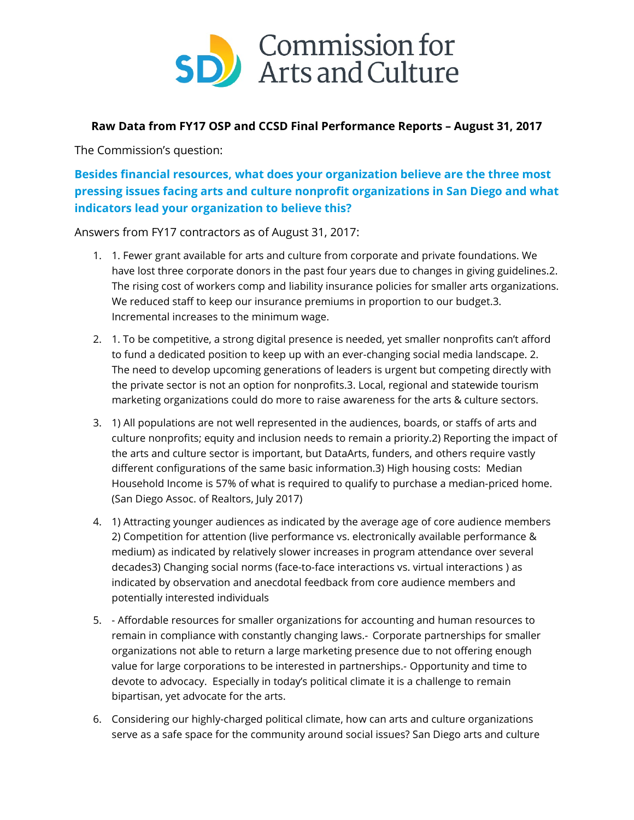

## **Raw Data from FY17 OSP and CCSD Final Performance Reports – August 31, 2017**

The Commission's question:

**Besides financial resources, what does your organization believe are the three most pressing issues facing arts and culture nonprofit organizations in San Diego and what indicators lead your organization to believe this?**

Answers from FY17 contractors as of August 31, 2017:

- 1. 1. Fewer grant available for arts and culture from corporate and private foundations. We have lost three corporate donors in the past four years due to changes in giving guidelines.2. The rising cost of workers comp and liability insurance policies for smaller arts organizations. We reduced staff to keep our insurance premiums in proportion to our budget.3. Incremental increases to the minimum wage.
- 2. 1. To be competitive, a strong digital presence is needed, yet smaller nonprofits can't afford to fund a dedicated position to keep up with an ever-changing social media landscape. 2. The need to develop upcoming generations of leaders is urgent but competing directly with the private sector is not an option for nonprofits.3. Local, regional and statewide tourism marketing organizations could do more to raise awareness for the arts & culture sectors.
- 3. 1) All populations are not well represented in the audiences, boards, or staffs of arts and culture nonprofits; equity and inclusion needs to remain a priority.2) Reporting the impact of the arts and culture sector is important, but DataArts, funders, and others require vastly different configurations of the same basic information.3) High housing costs: Median Household Income is 57% of what is required to qualify to purchase a median-priced home. (San Diego Assoc. of Realtors, July 2017)
- 4. 1) Attracting younger audiences as indicated by the average age of core audience members 2) Competition for attention (live performance vs. electronically available performance & medium) as indicated by relatively slower increases in program attendance over several decades3) Changing social norms (face-to-face interactions vs. virtual interactions ) as indicated by observation and anecdotal feedback from core audience members and potentially interested individuals
- 5. Affordable resources for smaller organizations for accounting and human resources to remain in compliance with constantly changing laws.- Corporate partnerships for smaller organizations not able to return a large marketing presence due to not offering enough value for large corporations to be interested in partnerships.- Opportunity and time to devote to advocacy. Especially in today's political climate it is a challenge to remain bipartisan, yet advocate for the arts.
- 6. Considering our highly-charged political climate, how can arts and culture organizations serve as a safe space for the community around social issues? San Diego arts and culture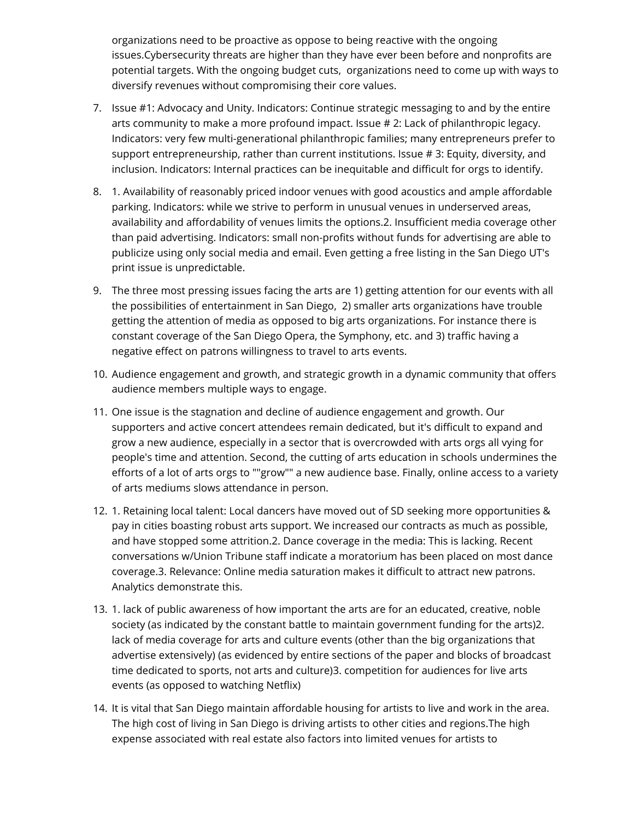organizations need to be proactive as oppose to being reactive with the ongoing issues.Cybersecurity threats are higher than they have ever been before and nonprofits are potential targets. With the ongoing budget cuts, organizations need to come up with ways to diversify revenues without compromising their core values.

- 7. Issue #1: Advocacy and Unity. Indicators: Continue strategic messaging to and by the entire arts community to make a more profound impact. Issue # 2: Lack of philanthropic legacy. Indicators: very few multi-generational philanthropic families; many entrepreneurs prefer to support entrepreneurship, rather than current institutions. Issue # 3: Equity, diversity, and inclusion. Indicators: Internal practices can be inequitable and difficult for orgs to identify.
- 8. 1. Availability of reasonably priced indoor venues with good acoustics and ample affordable parking. Indicators: while we strive to perform in unusual venues in underserved areas, availability and affordability of venues limits the options.2. Insufficient media coverage other than paid advertising. Indicators: small non-profits without funds for advertising are able to publicize using only social media and email. Even getting a free listing in the San Diego UT's print issue is unpredictable.
- 9. The three most pressing issues facing the arts are 1) getting attention for our events with all the possibilities of entertainment in San Diego, 2) smaller arts organizations have trouble getting the attention of media as opposed to big arts organizations. For instance there is constant coverage of the San Diego Opera, the Symphony, etc. and 3) traffic having a negative effect on patrons willingness to travel to arts events.
- 10. Audience engagement and growth, and strategic growth in a dynamic community that offers audience members multiple ways to engage.
- 11. One issue is the stagnation and decline of audience engagement and growth. Our supporters and active concert attendees remain dedicated, but it's difficult to expand and grow a new audience, especially in a sector that is overcrowded with arts orgs all vying for people's time and attention. Second, the cutting of arts education in schools undermines the efforts of a lot of arts orgs to ""grow"" a new audience base. Finally, online access to a variety of arts mediums slows attendance in person.
- 12. 1. Retaining local talent: Local dancers have moved out of SD seeking more opportunities & pay in cities boasting robust arts support. We increased our contracts as much as possible, and have stopped some attrition.2. Dance coverage in the media: This is lacking. Recent conversations w/Union Tribune staff indicate a moratorium has been placed on most dance coverage.3. Relevance: Online media saturation makes it difficult to attract new patrons. Analytics demonstrate this.
- 13. 1. lack of public awareness of how important the arts are for an educated, creative, noble society (as indicated by the constant battle to maintain government funding for the arts)2. lack of media coverage for arts and culture events (other than the big organizations that advertise extensively) (as evidenced by entire sections of the paper and blocks of broadcast time dedicated to sports, not arts and culture)3. competition for audiences for live arts events (as opposed to watching Netflix)
- 14. It is vital that San Diego maintain affordable housing for artists to live and work in the area. The high cost of living in San Diego is driving artists to other cities and regions.The high expense associated with real estate also factors into limited venues for artists to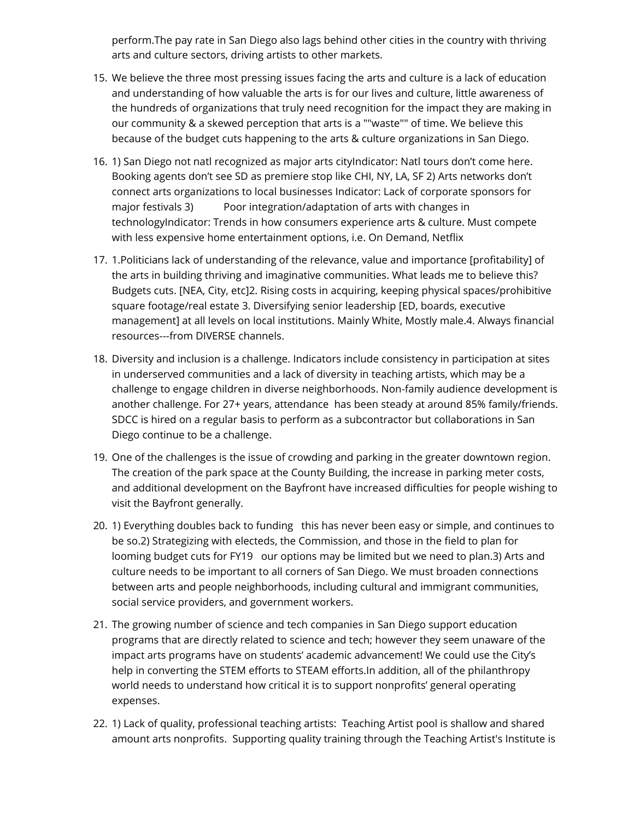perform.The pay rate in San Diego also lags behind other cities in the country with thriving arts and culture sectors, driving artists to other markets.

- 15. We believe the three most pressing issues facing the arts and culture is a lack of education and understanding of how valuable the arts is for our lives and culture, little awareness of the hundreds of organizations that truly need recognition for the impact they are making in our community & a skewed perception that arts is a ""waste"" of time. We believe this because of the budget cuts happening to the arts & culture organizations in San Diego.
- 16. 1) San Diego not natl recognized as major arts cityIndicator: Natl tours don't come here. Booking agents don't see SD as premiere stop like CHI, NY, LA, SF 2) Arts networks don't connect arts organizations to local businesses Indicator: Lack of corporate sponsors for major festivals 3) Poor integration/adaptation of arts with changes in technologyIndicator: Trends in how consumers experience arts & culture. Must compete with less expensive home entertainment options, i.e. On Demand, Netflix
- 17. 1.Politicians lack of understanding of the relevance, value and importance [profitability] of the arts in building thriving and imaginative communities. What leads me to believe this? Budgets cuts. [NEA, City, etc]2. Rising costs in acquiring, keeping physical spaces/prohibitive square footage/real estate 3. Diversifying senior leadership [ED, boards, executive management] at all levels on local institutions. Mainly White, Mostly male.4. Always financial resources---from DIVERSE channels.
- 18. Diversity and inclusion is a challenge. Indicators include consistency in participation at sites in underserved communities and a lack of diversity in teaching artists, which may be a challenge to engage children in diverse neighborhoods. Non-family audience development is another challenge. For 27+ years, attendance has been steady at around 85% family/friends. SDCC is hired on a regular basis to perform as a subcontractor but collaborations in San Diego continue to be a challenge.
- 19. One of the challenges is the issue of crowding and parking in the greater downtown region. The creation of the park space at the County Building, the increase in parking meter costs, and additional development on the Bayfront have increased difficulties for people wishing to visit the Bayfront generally.
- 20. 1) Everything doubles back to funding this has never been easy or simple, and continues to be so.2) Strategizing with electeds, the Commission, and those in the field to plan for looming budget cuts for FY19 our options may be limited but we need to plan.3) Arts and culture needs to be important to all corners of San Diego. We must broaden connections between arts and people neighborhoods, including cultural and immigrant communities, social service providers, and government workers.
- 21. The growing number of science and tech companies in San Diego support education programs that are directly related to science and tech; however they seem unaware of the impact arts programs have on students' academic advancement! We could use the City's help in converting the STEM efforts to STEAM efforts.In addition, all of the philanthropy world needs to understand how critical it is to support nonprofits' general operating expenses.
- 22. 1) Lack of quality, professional teaching artists: Teaching Artist pool is shallow and shared amount arts nonprofits. Supporting quality training through the Teaching Artist's Institute is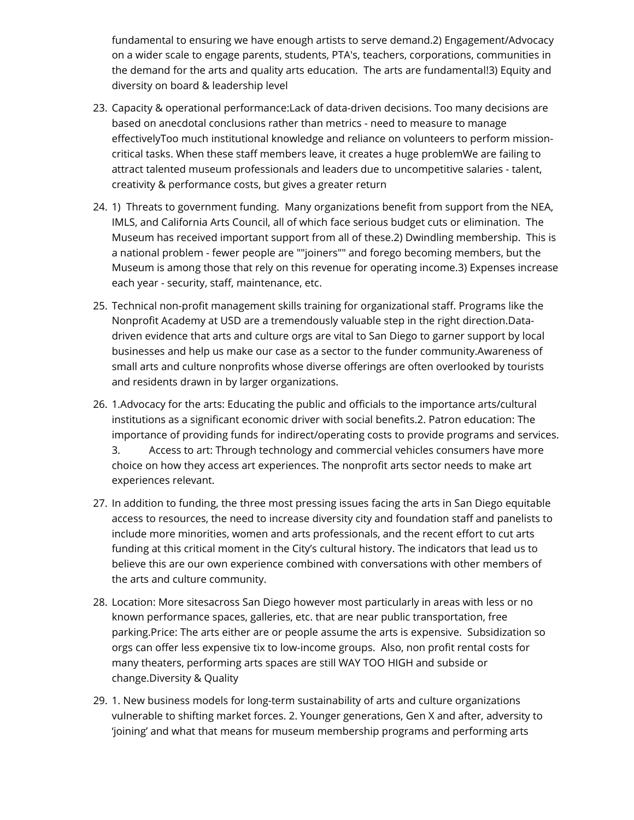fundamental to ensuring we have enough artists to serve demand.2) Engagement/Advocacy on a wider scale to engage parents, students, PTA's, teachers, corporations, communities in the demand for the arts and quality arts education. The arts are fundamental!3) Equity and diversity on board & leadership level

- 23. Capacity & operational performance:Lack of data-driven decisions. Too many decisions are based on anecdotal conclusions rather than metrics - need to measure to manage effectivelyToo much institutional knowledge and reliance on volunteers to perform missioncritical tasks. When these staff members leave, it creates a huge problemWe are failing to attract talented museum professionals and leaders due to uncompetitive salaries - talent, creativity & performance costs, but gives a greater return
- 24. 1) Threats to government funding. Many organizations benefit from support from the NEA, IMLS, and California Arts Council, all of which face serious budget cuts or elimination. The Museum has received important support from all of these.2) Dwindling membership. This is a national problem - fewer people are ""joiners"" and forego becoming members, but the Museum is among those that rely on this revenue for operating income.3) Expenses increase each year - security, staff, maintenance, etc.
- 25. Technical non-profit management skills training for organizational staff. Programs like the Nonprofit Academy at USD are a tremendously valuable step in the right direction.Datadriven evidence that arts and culture orgs are vital to San Diego to garner support by local businesses and help us make our case as a sector to the funder community.Awareness of small arts and culture nonprofits whose diverse offerings are often overlooked by tourists and residents drawn in by larger organizations.
- 26. 1.Advocacy for the arts: Educating the public and officials to the importance arts/cultural institutions as a significant economic driver with social benefits.2. Patron education: The importance of providing funds for indirect/operating costs to provide programs and services. 3. Access to art: Through technology and commercial vehicles consumers have more choice on how they access art experiences. The nonprofit arts sector needs to make art experiences relevant.
- 27. In addition to funding, the three most pressing issues facing the arts in San Diego equitable access to resources, the need to increase diversity city and foundation staff and panelists to include more minorities, women and arts professionals, and the recent effort to cut arts funding at this critical moment in the City's cultural history. The indicators that lead us to believe this are our own experience combined with conversations with other members of the arts and culture community.
- 28. Location: More sitesacross San Diego however most particularly in areas with less or no known performance spaces, galleries, etc. that are near public transportation, free parking.Price: The arts either are or people assume the arts is expensive. Subsidization so orgs can offer less expensive tix to low-income groups. Also, non profit rental costs for many theaters, performing arts spaces are still WAY TOO HIGH and subside or change.Diversity & Quality
- 29. 1. New business models for long-term sustainability of arts and culture organizations vulnerable to shifting market forces. 2. Younger generations, Gen X and after, adversity to 'joining' and what that means for museum membership programs and performing arts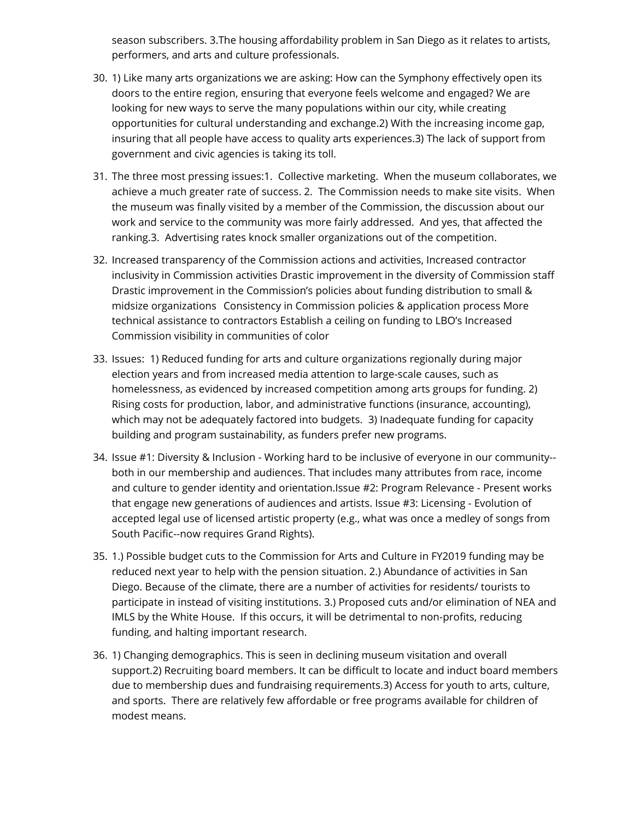season subscribers. 3.The housing affordability problem in San Diego as it relates to artists, performers, and arts and culture professionals.

- 30. 1) Like many arts organizations we are asking: How can the Symphony effectively open its doors to the entire region, ensuring that everyone feels welcome and engaged? We are looking for new ways to serve the many populations within our city, while creating opportunities for cultural understanding and exchange.2) With the increasing income gap, insuring that all people have access to quality arts experiences.3) The lack of support from government and civic agencies is taking its toll.
- 31. The three most pressing issues:1. Collective marketing. When the museum collaborates, we achieve a much greater rate of success. 2. The Commission needs to make site visits. When the museum was finally visited by a member of the Commission, the discussion about our work and service to the community was more fairly addressed. And yes, that affected the ranking.3. Advertising rates knock smaller organizations out of the competition.
- 32. Increased transparency of the Commission actions and activities, Increased contractor inclusivity in Commission activities Drastic improvement in the diversity of Commission staff Drastic improvement in the Commission's policies about funding distribution to small & midsize organizations Consistency in Commission policies & application process More technical assistance to contractors Establish a ceiling on funding to LBO's Increased Commission visibility in communities of color
- 33. Issues: 1) Reduced funding for arts and culture organizations regionally during major election years and from increased media attention to large-scale causes, such as homelessness, as evidenced by increased competition among arts groups for funding. 2) Rising costs for production, labor, and administrative functions (insurance, accounting), which may not be adequately factored into budgets. 3) Inadequate funding for capacity building and program sustainability, as funders prefer new programs.
- 34. Issue #1: Diversity & Inclusion Working hard to be inclusive of everyone in our community- both in our membership and audiences. That includes many attributes from race, income and culture to gender identity and orientation.Issue #2: Program Relevance - Present works that engage new generations of audiences and artists. Issue #3: Licensing - Evolution of accepted legal use of licensed artistic property (e.g., what was once a medley of songs from South Pacific--now requires Grand Rights).
- 35. 1.) Possible budget cuts to the Commission for Arts and Culture in FY2019 funding may be reduced next year to help with the pension situation. 2.) Abundance of activities in San Diego. Because of the climate, there are a number of activities for residents/ tourists to participate in instead of visiting institutions. 3.) Proposed cuts and/or elimination of NEA and IMLS by the White House. If this occurs, it will be detrimental to non-profits, reducing funding, and halting important research.
- 36. 1) Changing demographics. This is seen in declining museum visitation and overall support.2) Recruiting board members. It can be difficult to locate and induct board members due to membership dues and fundraising requirements.3) Access for youth to arts, culture, and sports. There are relatively few affordable or free programs available for children of modest means.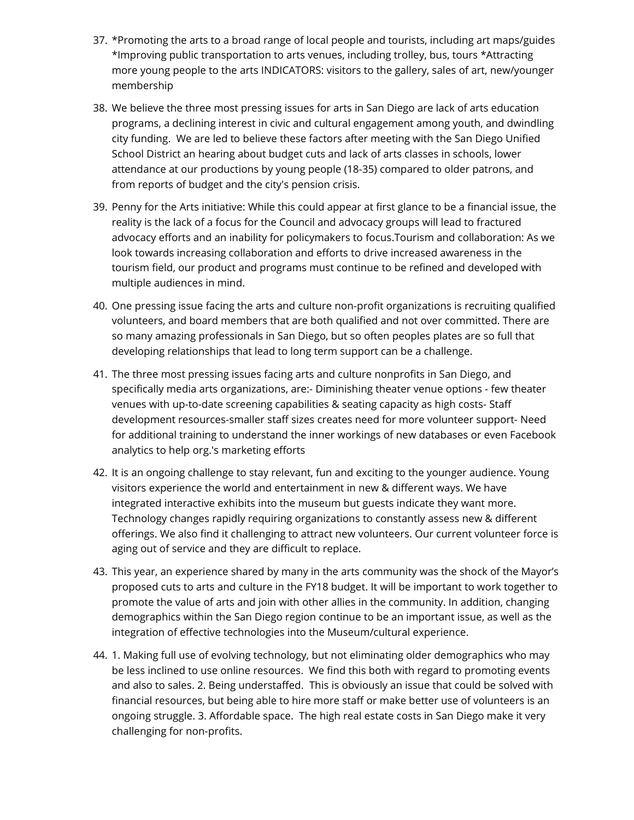- 37. \*Promoting the arts to a broad range of local people and tourists, including art maps/guides \*Improving public transportation to arts venues, including trolley, bus, tours \*Attracting more young people to the arts INDICATORS: visitors to the gallery, sales of art, new/younger membership
- 38. We believe the three most pressing issues for arts in San Diego are lack of arts education programs, a declining interest in civic and cultural engagement among youth, and dwindling city funding. We are led to believe these factors after meeting with the San Diego Unified School District an hearing about budget cuts and lack of arts classes in schools, lower attendance at our productions by young people (18-35) compared to older patrons, and from reports of budget and the city's pension crisis.
- 39. Penny for the Arts initiative: While this could appear at first glance to be a financial issue, the reality is the lack of a focus for the Council and advocacy groups will lead to fractured advocacy efforts and an inability for policymakers to focus.Tourism and collaboration: As we look towards increasing collaboration and efforts to drive increased awareness in the tourism field, our product and programs must continue to be refined and developed with multiple audiences in mind.
- 40. One pressing issue facing the arts and culture non-profit organizations is recruiting qualified volunteers, and board members that are both qualified and not over committed. There are so many amazing professionals in San Diego, but so often peoples plates are so full that developing relationships that lead to long term support can be a challenge.
- 41. The three most pressing issues facing arts and culture nonprofits in San Diego, and specifically media arts organizations, are:- Diminishing theater venue options - few theater venues with up-to-date screening capabilities & seating capacity as high costs- Staff development resources-smaller staff sizes creates need for more volunteer support- Need for additional training to understand the inner workings of new databases or even Facebook analytics to help org.'s marketing efforts
- 42. It is an ongoing challenge to stay relevant, fun and exciting to the younger audience. Young visitors experience the world and entertainment in new & different ways. We have integrated interactive exhibits into the museum but guests indicate they want more. Technology changes rapidly requiring organizations to constantly assess new & different offerings. We also find it challenging to attract new volunteers. Our current volunteer force is aging out of service and they are difficult to replace.
- 43. This year, an experience shared by many in the arts community was the shock of the Mayor's proposed cuts to arts and culture in the FY18 budget. It will be important to work together to promote the value of arts and join with other allies in the community. In addition, changing demographics within the San Diego region continue to be an important issue, as well as the integration of effective technologies into the Museum/cultural experience.
- 44. 1. Making full use of evolving technology, but not eliminating older demographics who may be less inclined to use online resources. We find this both with regard to promoting events and also to sales. 2. Being understaffed. This is obviously an issue that could be solved with financial resources, but being able to hire more staff or make better use of volunteers is an ongoing struggle. 3. Affordable space. The high real estate costs in San Diego make it very challenging for non-profits.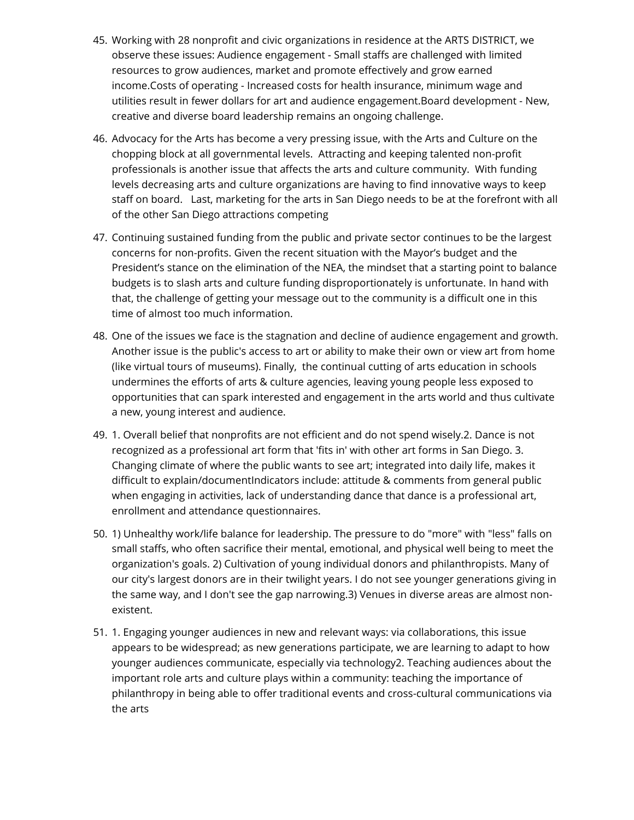- 45. Working with 28 nonprofit and civic organizations in residence at the ARTS DISTRICT, we observe these issues: Audience engagement - Small staffs are challenged with limited resources to grow audiences, market and promote effectively and grow earned income.Costs of operating - Increased costs for health insurance, minimum wage and utilities result in fewer dollars for art and audience engagement.Board development - New, creative and diverse board leadership remains an ongoing challenge.
- 46. Advocacy for the Arts has become a very pressing issue, with the Arts and Culture on the chopping block at all governmental levels. Attracting and keeping talented non-profit professionals is another issue that affects the arts and culture community. With funding levels decreasing arts and culture organizations are having to find innovative ways to keep staff on board. Last, marketing for the arts in San Diego needs to be at the forefront with all of the other San Diego attractions competing
- 47. Continuing sustained funding from the public and private sector continues to be the largest concerns for non-profits. Given the recent situation with the Mayor's budget and the President's stance on the elimination of the NEA, the mindset that a starting point to balance budgets is to slash arts and culture funding disproportionately is unfortunate. In hand with that, the challenge of getting your message out to the community is a difficult one in this time of almost too much information.
- 48. One of the issues we face is the stagnation and decline of audience engagement and growth. Another issue is the public's access to art or ability to make their own or view art from home (like virtual tours of museums). Finally, the continual cutting of arts education in schools undermines the efforts of arts & culture agencies, leaving young people less exposed to opportunities that can spark interested and engagement in the arts world and thus cultivate a new, young interest and audience.
- 49. 1. Overall belief that nonprofits are not efficient and do not spend wisely.2. Dance is not recognized as a professional art form that 'fits in' with other art forms in San Diego. 3. Changing climate of where the public wants to see art; integrated into daily life, makes it difficult to explain/documentIndicators include: attitude & comments from general public when engaging in activities, lack of understanding dance that dance is a professional art, enrollment and attendance questionnaires.
- 50. 1) Unhealthy work/life balance for leadership. The pressure to do "more" with "less" falls on small staffs, who often sacrifice their mental, emotional, and physical well being to meet the organization's goals. 2) Cultivation of young individual donors and philanthropists. Many of our city's largest donors are in their twilight years. I do not see younger generations giving in the same way, and I don't see the gap narrowing.3) Venues in diverse areas are almost nonexistent.
- 51. 1. Engaging younger audiences in new and relevant ways: via collaborations, this issue appears to be widespread; as new generations participate, we are learning to adapt to how younger audiences communicate, especially via technology2. Teaching audiences about the important role arts and culture plays within a community: teaching the importance of philanthropy in being able to offer traditional events and cross-cultural communications via the arts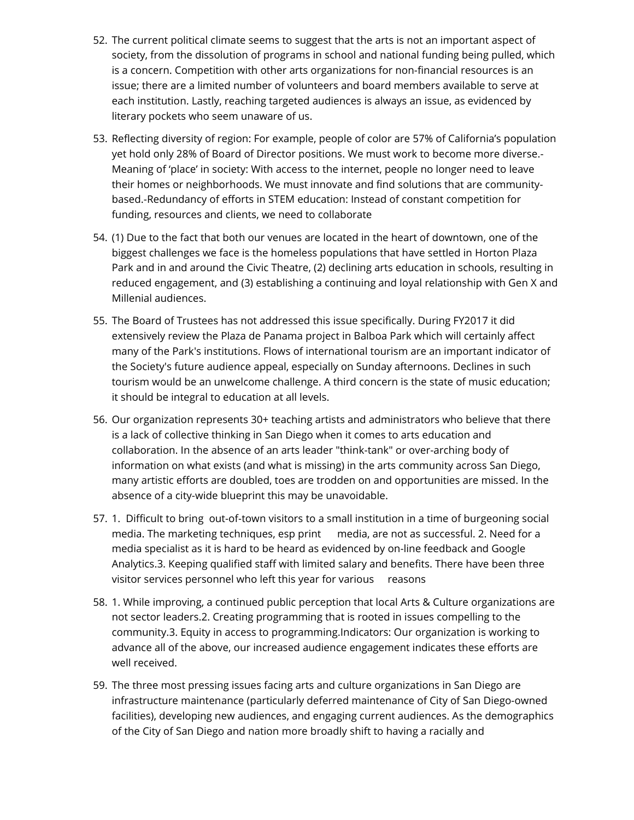- 52. The current political climate seems to suggest that the arts is not an important aspect of society, from the dissolution of programs in school and national funding being pulled, which is a concern. Competition with other arts organizations for non-financial resources is an issue; there are a limited number of volunteers and board members available to serve at each institution. Lastly, reaching targeted audiences is always an issue, as evidenced by literary pockets who seem unaware of us.
- 53. Reflecting diversity of region: For example, people of color are 57% of California's population yet hold only 28% of Board of Director positions. We must work to become more diverse.- Meaning of 'place' in society: With access to the internet, people no longer need to leave their homes or neighborhoods. We must innovate and find solutions that are communitybased.-Redundancy of efforts in STEM education: Instead of constant competition for funding, resources and clients, we need to collaborate
- 54. (1) Due to the fact that both our venues are located in the heart of downtown, one of the biggest challenges we face is the homeless populations that have settled in Horton Plaza Park and in and around the Civic Theatre, (2) declining arts education in schools, resulting in reduced engagement, and (3) establishing a continuing and loyal relationship with Gen X and Millenial audiences.
- 55. The Board of Trustees has not addressed this issue specifically. During FY2017 it did extensively review the Plaza de Panama project in Balboa Park which will certainly affect many of the Park's institutions. Flows of international tourism are an important indicator of the Society's future audience appeal, especially on Sunday afternoons. Declines in such tourism would be an unwelcome challenge. A third concern is the state of music education; it should be integral to education at all levels.
- 56. Our organization represents 30+ teaching artists and administrators who believe that there is a lack of collective thinking in San Diego when it comes to arts education and collaboration. In the absence of an arts leader "think-tank" or over-arching body of information on what exists (and what is missing) in the arts community across San Diego, many artistic efforts are doubled, toes are trodden on and opportunities are missed. In the absence of a city-wide blueprint this may be unavoidable.
- 57. 1. Difficult to bring out-of-town visitors to a small institution in a time of burgeoning social media. The marketing techniques, esp print media, are not as successful. 2. Need for a media specialist as it is hard to be heard as evidenced by on-line feedback and Google Analytics.3. Keeping qualified staff with limited salary and benefits. There have been three visitor services personnel who left this year for various reasons
- 58. 1. While improving, a continued public perception that local Arts & Culture organizations are not sector leaders.2. Creating programming that is rooted in issues compelling to the community.3. Equity in access to programming.Indicators: Our organization is working to advance all of the above, our increased audience engagement indicates these efforts are well received.
- 59. The three most pressing issues facing arts and culture organizations in San Diego are infrastructure maintenance (particularly deferred maintenance of City of San Diego-owned facilities), developing new audiences, and engaging current audiences. As the demographics of the City of San Diego and nation more broadly shift to having a racially and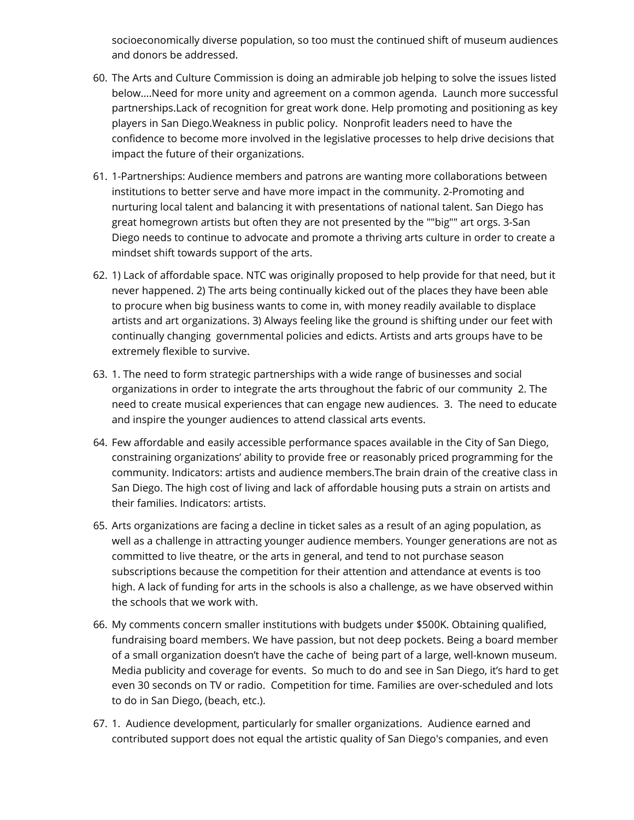socioeconomically diverse population, so too must the continued shift of museum audiences and donors be addressed.

- 60. The Arts and Culture Commission is doing an admirable job helping to solve the issues listed below....Need for more unity and agreement on a common agenda. Launch more successful partnerships.Lack of recognition for great work done. Help promoting and positioning as key players in San Diego.Weakness in public policy. Nonprofit leaders need to have the confidence to become more involved in the legislative processes to help drive decisions that impact the future of their organizations.
- 61. 1-Partnerships: Audience members and patrons are wanting more collaborations between institutions to better serve and have more impact in the community. 2-Promoting and nurturing local talent and balancing it with presentations of national talent. San Diego has great homegrown artists but often they are not presented by the ""big"" art orgs. 3-San Diego needs to continue to advocate and promote a thriving arts culture in order to create a mindset shift towards support of the arts.
- 62. 1) Lack of affordable space. NTC was originally proposed to help provide for that need, but it never happened. 2) The arts being continually kicked out of the places they have been able to procure when big business wants to come in, with money readily available to displace artists and art organizations. 3) Always feeling like the ground is shifting under our feet with continually changing governmental policies and edicts. Artists and arts groups have to be extremely flexible to survive.
- 63. 1. The need to form strategic partnerships with a wide range of businesses and social organizations in order to integrate the arts throughout the fabric of our community 2. The need to create musical experiences that can engage new audiences. 3. The need to educate and inspire the younger audiences to attend classical arts events.
- 64. Few affordable and easily accessible performance spaces available in the City of San Diego, constraining organizations' ability to provide free or reasonably priced programming for the community. Indicators: artists and audience members.The brain drain of the creative class in San Diego. The high cost of living and lack of affordable housing puts a strain on artists and their families. Indicators: artists.
- 65. Arts organizations are facing a decline in ticket sales as a result of an aging population, as well as a challenge in attracting younger audience members. Younger generations are not as committed to live theatre, or the arts in general, and tend to not purchase season subscriptions because the competition for their attention and attendance at events is too high. A lack of funding for arts in the schools is also a challenge, as we have observed within the schools that we work with.
- 66. My comments concern smaller institutions with budgets under \$500K. Obtaining qualified, fundraising board members. We have passion, but not deep pockets. Being a board member of a small organization doesn't have the cache of being part of a large, well-known museum. Media publicity and coverage for events. So much to do and see in San Diego, it's hard to get even 30 seconds on TV or radio. Competition for time. Families are over-scheduled and lots to do in San Diego, (beach, etc.).
- 67. 1. Audience development, particularly for smaller organizations. Audience earned and contributed support does not equal the artistic quality of San Diego's companies, and even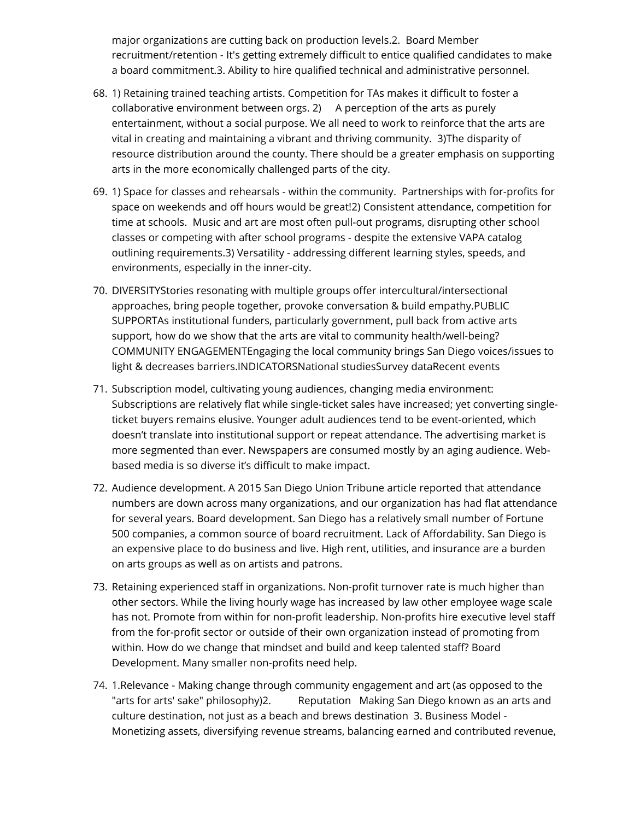major organizations are cutting back on production levels.2. Board Member recruitment/retention - It's getting extremely difficult to entice qualified candidates to make a board commitment.3. Ability to hire qualified technical and administrative personnel.

- 68. 1) Retaining trained teaching artists. Competition for TAs makes it difficult to foster a collaborative environment between orgs. 2) A perception of the arts as purely entertainment, without a social purpose. We all need to work to reinforce that the arts are vital in creating and maintaining a vibrant and thriving community. 3)The disparity of resource distribution around the county. There should be a greater emphasis on supporting arts in the more economically challenged parts of the city.
- 69. 1) Space for classes and rehearsals within the community. Partnerships with for-profits for space on weekends and off hours would be great!2) Consistent attendance, competition for time at schools. Music and art are most often pull-out programs, disrupting other school classes or competing with after school programs - despite the extensive VAPA catalog outlining requirements.3) Versatility - addressing different learning styles, speeds, and environments, especially in the inner-city.
- 70. DIVERSITYStories resonating with multiple groups offer intercultural/intersectional approaches, bring people together, provoke conversation & build empathy.PUBLIC SUPPORTAs institutional funders, particularly government, pull back from active arts support, how do we show that the arts are vital to community health/well-being? COMMUNITY ENGAGEMENTEngaging the local community brings San Diego voices/issues to light & decreases barriers.INDICATORSNational studiesSurvey dataRecent events
- 71. Subscription model, cultivating young audiences, changing media environment: Subscriptions are relatively flat while single-ticket sales have increased; yet converting singleticket buyers remains elusive. Younger adult audiences tend to be event-oriented, which doesn't translate into institutional support or repeat attendance. The advertising market is more segmented than ever. Newspapers are consumed mostly by an aging audience. Webbased media is so diverse it's difficult to make impact.
- 72. Audience development. A 2015 San Diego Union Tribune article reported that attendance numbers are down across many organizations, and our organization has had flat attendance for several years. Board development. San Diego has a relatively small number of Fortune 500 companies, a common source of board recruitment. Lack of Affordability. San Diego is an expensive place to do business and live. High rent, utilities, and insurance are a burden on arts groups as well as on artists and patrons.
- 73. Retaining experienced staff in organizations. Non-profit turnover rate is much higher than other sectors. While the living hourly wage has increased by law other employee wage scale has not. Promote from within for non-profit leadership. Non-profits hire executive level staff from the for-profit sector or outside of their own organization instead of promoting from within. How do we change that mindset and build and keep talented staff? Board Development. Many smaller non-profits need help.
- 74. 1.Relevance Making change through community engagement and art (as opposed to the "arts for arts' sake" philosophy)2. Reputation Making San Diego known as an arts and culture destination, not just as a beach and brews destination 3. Business Model - Monetizing assets, diversifying revenue streams, balancing earned and contributed revenue,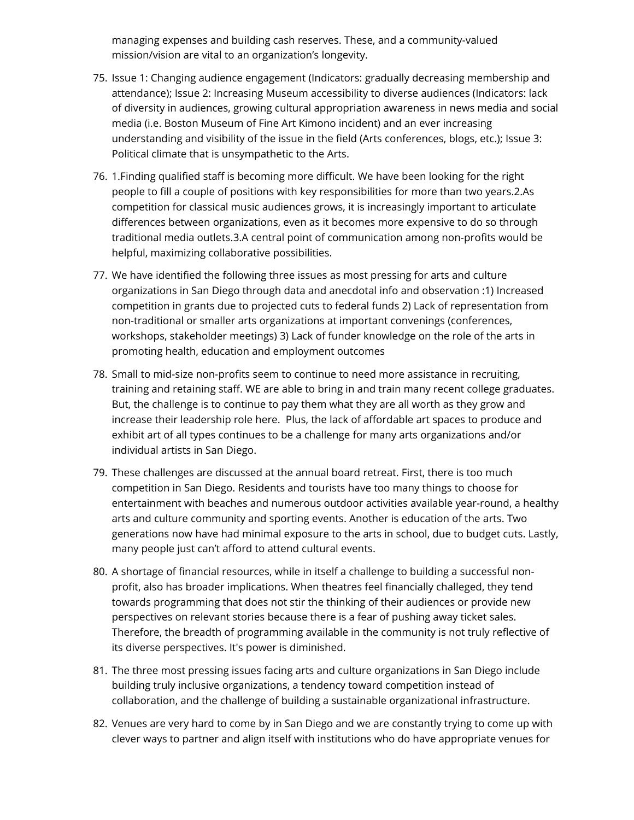managing expenses and building cash reserves. These, and a community-valued mission/vision are vital to an organization's longevity.

- 75. Issue 1: Changing audience engagement (Indicators: gradually decreasing membership and attendance); Issue 2: Increasing Museum accessibility to diverse audiences (Indicators: lack of diversity in audiences, growing cultural appropriation awareness in news media and social media (i.e. Boston Museum of Fine Art Kimono incident) and an ever increasing understanding and visibility of the issue in the field (Arts conferences, blogs, etc.); Issue 3: Political climate that is unsympathetic to the Arts.
- 76. 1.Finding qualified staff is becoming more difficult. We have been looking for the right people to fill a couple of positions with key responsibilities for more than two years.2.As competition for classical music audiences grows, it is increasingly important to articulate differences between organizations, even as it becomes more expensive to do so through traditional media outlets.3.A central point of communication among non-profits would be helpful, maximizing collaborative possibilities.
- 77. We have identified the following three issues as most pressing for arts and culture organizations in San Diego through data and anecdotal info and observation :1) Increased competition in grants due to projected cuts to federal funds 2) Lack of representation from non-traditional or smaller arts organizations at important convenings (conferences, workshops, stakeholder meetings) 3) Lack of funder knowledge on the role of the arts in promoting health, education and employment outcomes
- 78. Small to mid-size non-profits seem to continue to need more assistance in recruiting, training and retaining staff. WE are able to bring in and train many recent college graduates. But, the challenge is to continue to pay them what they are all worth as they grow and increase their leadership role here. Plus, the lack of affordable art spaces to produce and exhibit art of all types continues to be a challenge for many arts organizations and/or individual artists in San Diego.
- 79. These challenges are discussed at the annual board retreat. First, there is too much competition in San Diego. Residents and tourists have too many things to choose for entertainment with beaches and numerous outdoor activities available year-round, a healthy arts and culture community and sporting events. Another is education of the arts. Two generations now have had minimal exposure to the arts in school, due to budget cuts. Lastly, many people just can't afford to attend cultural events.
- 80. A shortage of financial resources, while in itself a challenge to building a successful nonprofit, also has broader implications. When theatres feel financially challeged, they tend towards programming that does not stir the thinking of their audiences or provide new perspectives on relevant stories because there is a fear of pushing away ticket sales. Therefore, the breadth of programming available in the community is not truly reflective of its diverse perspectives. It's power is diminished.
- 81. The three most pressing issues facing arts and culture organizations in San Diego include building truly inclusive organizations, a tendency toward competition instead of collaboration, and the challenge of building a sustainable organizational infrastructure.
- 82. Venues are very hard to come by in San Diego and we are constantly trying to come up with clever ways to partner and align itself with institutions who do have appropriate venues for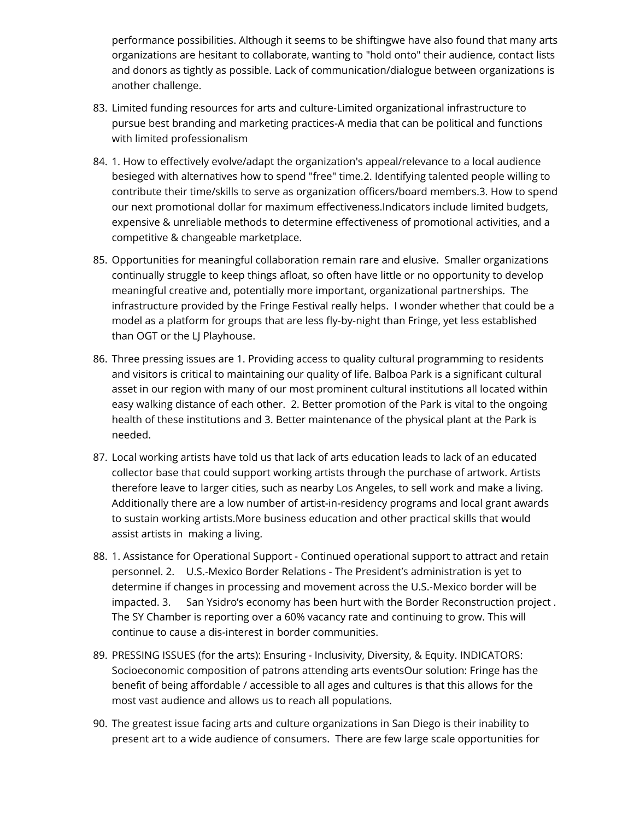performance possibilities. Although it seems to be shiftingwe have also found that many arts organizations are hesitant to collaborate, wanting to "hold onto" their audience, contact lists and donors as tightly as possible. Lack of communication/dialogue between organizations is another challenge.

- 83. Limited funding resources for arts and culture-Limited organizational infrastructure to pursue best branding and marketing practices-A media that can be political and functions with limited professionalism
- 84. 1. How to effectively evolve/adapt the organization's appeal/relevance to a local audience besieged with alternatives how to spend "free" time.2. Identifying talented people willing to contribute their time/skills to serve as organization officers/board members.3. How to spend our next promotional dollar for maximum effectiveness.Indicators include limited budgets, expensive & unreliable methods to determine effectiveness of promotional activities, and a competitive & changeable marketplace.
- 85. Opportunities for meaningful collaboration remain rare and elusive. Smaller organizations continually struggle to keep things afloat, so often have little or no opportunity to develop meaningful creative and, potentially more important, organizational partnerships. The infrastructure provided by the Fringe Festival really helps. I wonder whether that could be a model as a platform for groups that are less fly-by-night than Fringe, yet less established than OGT or the LJ Playhouse.
- 86. Three pressing issues are 1. Providing access to quality cultural programming to residents and visitors is critical to maintaining our quality of life. Balboa Park is a significant cultural asset in our region with many of our most prominent cultural institutions all located within easy walking distance of each other. 2. Better promotion of the Park is vital to the ongoing health of these institutions and 3. Better maintenance of the physical plant at the Park is needed.
- 87. Local working artists have told us that lack of arts education leads to lack of an educated collector base that could support working artists through the purchase of artwork. Artists therefore leave to larger cities, such as nearby Los Angeles, to sell work and make a living. Additionally there are a low number of artist-in-residency programs and local grant awards to sustain working artists.More business education and other practical skills that would assist artists in making a living.
- 88. 1. Assistance for Operational Support Continued operational support to attract and retain personnel. 2. U.S.-Mexico Border Relations - The President's administration is yet to determine if changes in processing and movement across the U.S.-Mexico border will be impacted. 3. San Ysidro's economy has been hurt with the Border Reconstruction project . The SY Chamber is reporting over a 60% vacancy rate and continuing to grow. This will continue to cause a dis-interest in border communities.
- 89. PRESSING ISSUES (for the arts): Ensuring Inclusivity, Diversity, & Equity. INDICATORS: Socioeconomic composition of patrons attending arts eventsOur solution: Fringe has the benefit of being affordable / accessible to all ages and cultures is that this allows for the most vast audience and allows us to reach all populations.
- 90. The greatest issue facing arts and culture organizations in San Diego is their inability to present art to a wide audience of consumers. There are few large scale opportunities for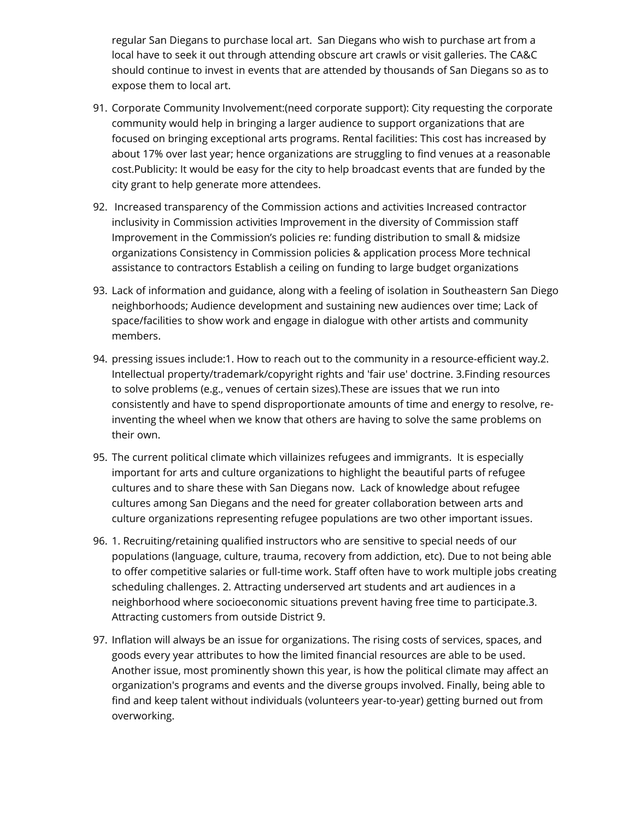regular San Diegans to purchase local art. San Diegans who wish to purchase art from a local have to seek it out through attending obscure art crawls or visit galleries. The CA&C should continue to invest in events that are attended by thousands of San Diegans so as to expose them to local art.

- 91. Corporate Community Involvement:(need corporate support): City requesting the corporate community would help in bringing a larger audience to support organizations that are focused on bringing exceptional arts programs. Rental facilities: This cost has increased by about 17% over last year; hence organizations are struggling to find venues at a reasonable cost.Publicity: It would be easy for the city to help broadcast events that are funded by the city grant to help generate more attendees.
- 92. Increased transparency of the Commission actions and activities Increased contractor inclusivity in Commission activities Improvement in the diversity of Commission staff Improvement in the Commission's policies re: funding distribution to small & midsize organizations Consistency in Commission policies & application process More technical assistance to contractors Establish a ceiling on funding to large budget organizations
- 93. Lack of information and guidance, along with a feeling of isolation in Southeastern San Diego neighborhoods; Audience development and sustaining new audiences over time; Lack of space/facilities to show work and engage in dialogue with other artists and community members.
- 94. pressing issues include:1. How to reach out to the community in a resource-efficient way.2. Intellectual property/trademark/copyright rights and 'fair use' doctrine. 3.Finding resources to solve problems (e.g., venues of certain sizes).These are issues that we run into consistently and have to spend disproportionate amounts of time and energy to resolve, reinventing the wheel when we know that others are having to solve the same problems on their own.
- 95. The current political climate which villainizes refugees and immigrants. It is especially important for arts and culture organizations to highlight the beautiful parts of refugee cultures and to share these with San Diegans now. Lack of knowledge about refugee cultures among San Diegans and the need for greater collaboration between arts and culture organizations representing refugee populations are two other important issues.
- 96. 1. Recruiting/retaining qualified instructors who are sensitive to special needs of our populations (language, culture, trauma, recovery from addiction, etc). Due to not being able to offer competitive salaries or full-time work. Staff often have to work multiple jobs creating scheduling challenges. 2. Attracting underserved art students and art audiences in a neighborhood where socioeconomic situations prevent having free time to participate.3. Attracting customers from outside District 9.
- 97. Inflation will always be an issue for organizations. The rising costs of services, spaces, and goods every year attributes to how the limited financial resources are able to be used. Another issue, most prominently shown this year, is how the political climate may affect an organization's programs and events and the diverse groups involved. Finally, being able to find and keep talent without individuals (volunteers year-to-year) getting burned out from overworking.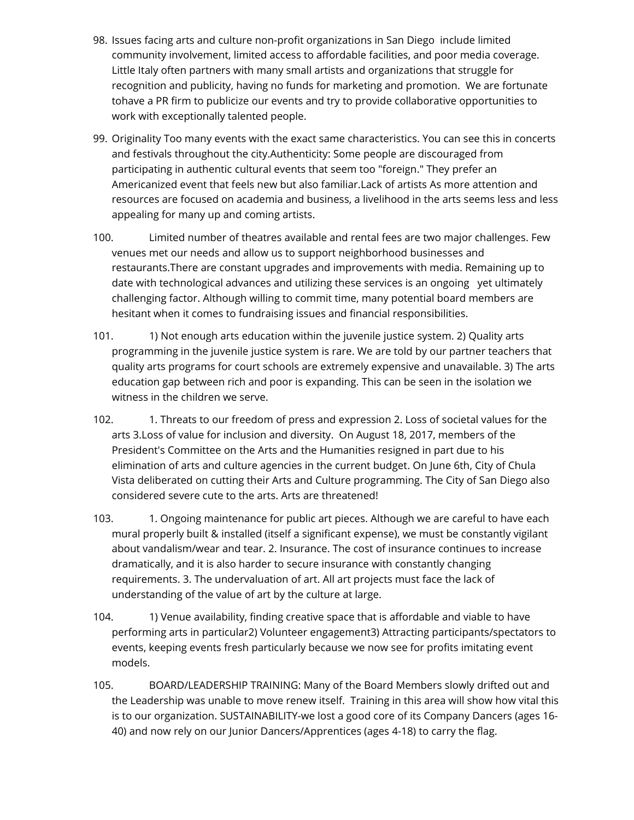- 98. Issues facing arts and culture non-profit organizations in San Diego include limited community involvement, limited access to affordable facilities, and poor media coverage. Little Italy often partners with many small artists and organizations that struggle for recognition and publicity, having no funds for marketing and promotion. We are fortunate tohave a PR firm to publicize our events and try to provide collaborative opportunities to work with exceptionally talented people.
- 99. Originality Too many events with the exact same characteristics. You can see this in concerts and festivals throughout the city.Authenticity: Some people are discouraged from participating in authentic cultural events that seem too "foreign." They prefer an Americanized event that feels new but also familiar.Lack of artists As more attention and resources are focused on academia and business, a livelihood in the arts seems less and less appealing for many up and coming artists.
- 100. Limited number of theatres available and rental fees are two major challenges. Few venues met our needs and allow us to support neighborhood businesses and restaurants.There are constant upgrades and improvements with media. Remaining up to date with technological advances and utilizing these services is an ongoing yet ultimately challenging factor. Although willing to commit time, many potential board members are hesitant when it comes to fundraising issues and financial responsibilities.
- 101. 1) Not enough arts education within the juvenile justice system. 2) Quality arts programming in the juvenile justice system is rare. We are told by our partner teachers that quality arts programs for court schools are extremely expensive and unavailable. 3) The arts education gap between rich and poor is expanding. This can be seen in the isolation we witness in the children we serve.
- 102. 1. Threats to our freedom of press and expression 2. Loss of societal values for the arts 3.Loss of value for inclusion and diversity. On August 18, 2017, members of the President's Committee on the Arts and the Humanities resigned in part due to his elimination of arts and culture agencies in the current budget. On June 6th, City of Chula Vista deliberated on cutting their Arts and Culture programming. The City of San Diego also considered severe cute to the arts. Arts are threatened!
- 103. 1. Ongoing maintenance for public art pieces. Although we are careful to have each mural properly built & installed (itself a significant expense), we must be constantly vigilant about vandalism/wear and tear. 2. Insurance. The cost of insurance continues to increase dramatically, and it is also harder to secure insurance with constantly changing requirements. 3. The undervaluation of art. All art projects must face the lack of understanding of the value of art by the culture at large.
- 104. 1) Venue availability, finding creative space that is affordable and viable to have performing arts in particular2) Volunteer engagement3) Attracting participants/spectators to events, keeping events fresh particularly because we now see for profits imitating event models.
- 105. BOARD/LEADERSHIP TRAINING: Many of the Board Members slowly drifted out and the Leadership was unable to move renew itself. Training in this area will show how vital this is to our organization. SUSTAINABILITY-we lost a good core of its Company Dancers (ages 16- 40) and now rely on our Junior Dancers/Apprentices (ages 4-18) to carry the flag.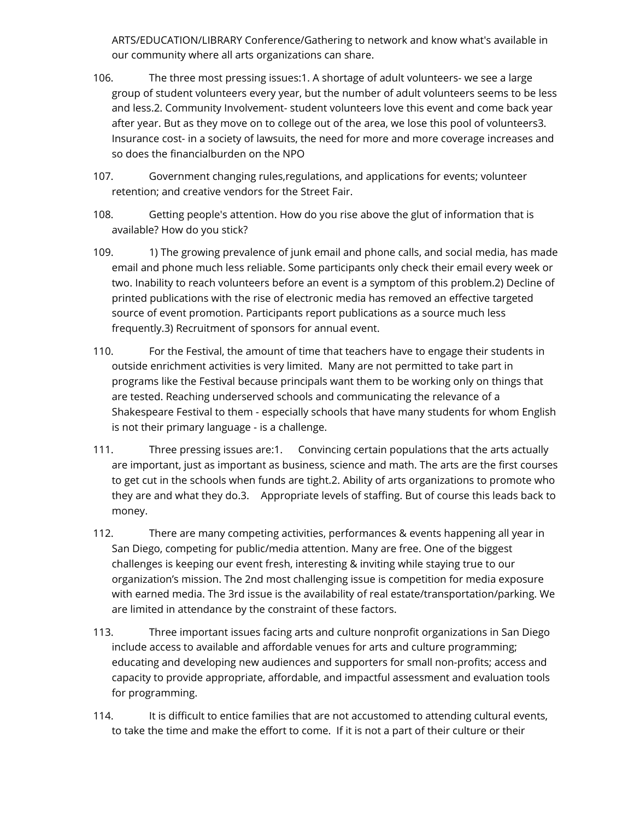ARTS/EDUCATION/LIBRARY Conference/Gathering to network and know what's available in our community where all arts organizations can share.

- 106. The three most pressing issues:1. A shortage of adult volunteers- we see a large group of student volunteers every year, but the number of adult volunteers seems to be less and less.2. Community Involvement- student volunteers love this event and come back year after year. But as they move on to college out of the area, we lose this pool of volunteers3. Insurance cost- in a society of lawsuits, the need for more and more coverage increases and so does the financialburden on the NPO
- 107. Government changing rules,regulations, and applications for events; volunteer retention; and creative vendors for the Street Fair.
- 108. Getting people's attention. How do you rise above the glut of information that is available? How do you stick?
- 109. 1) The growing prevalence of junk email and phone calls, and social media, has made email and phone much less reliable. Some participants only check their email every week or two. Inability to reach volunteers before an event is a symptom of this problem.2) Decline of printed publications with the rise of electronic media has removed an effective targeted source of event promotion. Participants report publications as a source much less frequently.3) Recruitment of sponsors for annual event.
- 110. For the Festival, the amount of time that teachers have to engage their students in outside enrichment activities is very limited. Many are not permitted to take part in programs like the Festival because principals want them to be working only on things that are tested. Reaching underserved schools and communicating the relevance of a Shakespeare Festival to them - especially schools that have many students for whom English is not their primary language - is a challenge.
- 111. Three pressing issues are:1. Convincing certain populations that the arts actually are important, just as important as business, science and math. The arts are the first courses to get cut in the schools when funds are tight.2. Ability of arts organizations to promote who they are and what they do.3. Appropriate levels of staffing. But of course this leads back to money.
- 112. There are many competing activities, performances & events happening all year in San Diego, competing for public/media attention. Many are free. One of the biggest challenges is keeping our event fresh, interesting & inviting while staying true to our organization's mission. The 2nd most challenging issue is competition for media exposure with earned media. The 3rd issue is the availability of real estate/transportation/parking. We are limited in attendance by the constraint of these factors.
- 113. Three important issues facing arts and culture nonprofit organizations in San Diego include access to available and affordable venues for arts and culture programming; educating and developing new audiences and supporters for small non-profits; access and capacity to provide appropriate, affordable, and impactful assessment and evaluation tools for programming.
- 114. It is difficult to entice families that are not accustomed to attending cultural events, to take the time and make the effort to come. If it is not a part of their culture or their